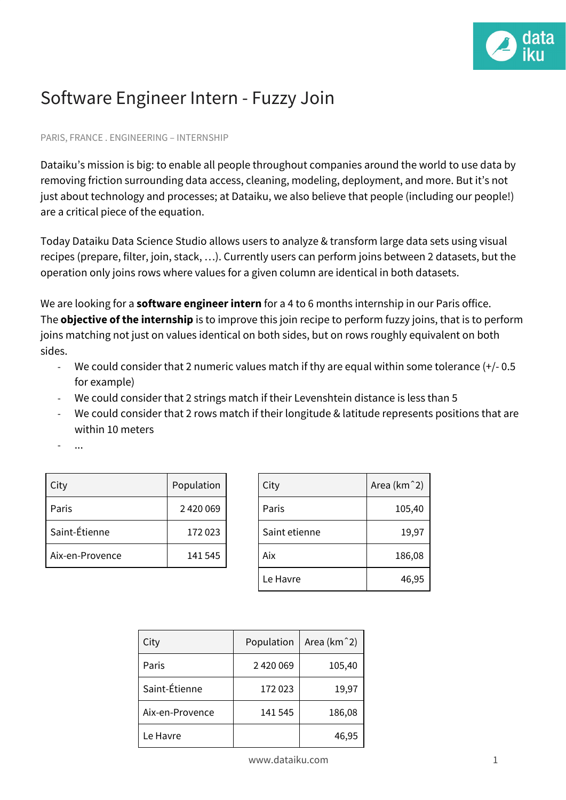

## Software Engineer Intern - Fuzzy Join

## PARIS, FRANCE . ENGINEERING – INTERNSHIP

Dataiku's mission is big: to enable all people throughout companies around the world to use data by removing friction surrounding data access, cleaning, modeling, deployment, and more. But it's not just about technology and processes; at Dataiku, we also believe that people (including our people!) are a critical piece of the equation.

Today Dataiku Data Science Studio allows users to analyze & transform large data sets using [visual](https://doc.dataiku.com/dss/latest/other_recipes/index.html) [recipes](https://doc.dataiku.com/dss/latest/other_recipes/index.html) (prepare, filter, join, stack, …). Currently users can perform [joins](https://en.wikipedia.org/wiki/Join_(SQL)) between 2 datasets, but the operation only joins rows where values for a given column are identical in both datasets.

We are looking for a **software engineer intern** for a 4 to 6 months internship in our Paris office. The **objective of the internship** is to improve this join recipe to perform fuzzy joins, that is to perform joins matching not just on values identical on both sides, but on rows roughly equivalent on both sides.

- We could consider that 2 numeric values match if thy are equal within some tolerance (+/- 0.5 for example)
- We could consider that 2 strings match if their [Levenshtein](https://en.wikipedia.org/wiki/Levenshtein_distance) distance is less than 5
- We could consider that 2 rows match if their longitude & latitude represents positions that are within 10 meters
- ...

| City            | Population |
|-----------------|------------|
| Paris           | 2420069    |
| Saint-Étienne   | 172023     |
| Aix-en-Provence | 141 545    |

| City          | Area (km <sup>2</sup> ) |
|---------------|-------------------------|
| Paris         | 105,40                  |
| Saint etienne | 19,97                   |
| Aix           | 186,08                  |
| Le Havre      | 46,95                   |

| City            | Population | Area (km <sup>2</sup> ) |
|-----------------|------------|-------------------------|
| Paris           | 2420069    | 105,40                  |
| Saint-Étienne   | 172023     | 19,97                   |
| Aix-en-Provence | 141 545    | 186,08                  |
| Le Havre        |            | 46,95                   |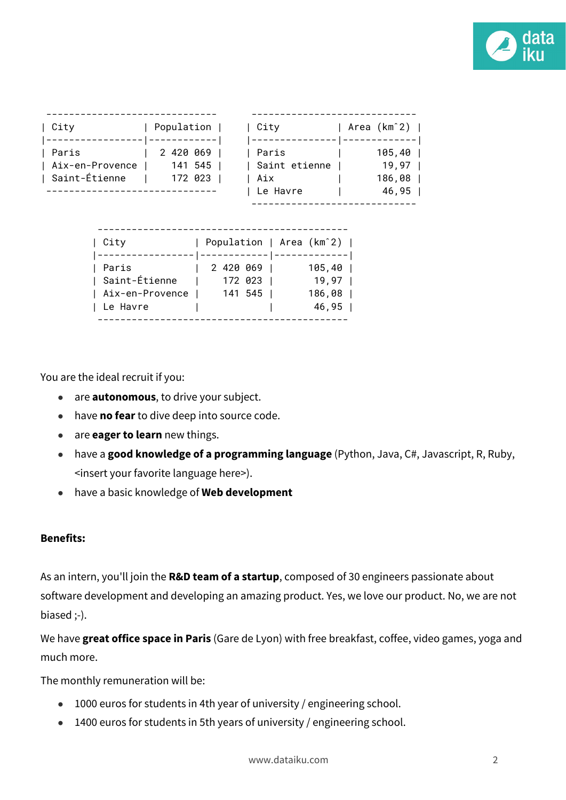

| City                                              | Population                          | City                                                                                         | Area (km^2)                                      |
|---------------------------------------------------|-------------------------------------|----------------------------------------------------------------------------------------------|--------------------------------------------------|
| Paris<br>Aix-en-Provence<br>  Saint-Étienne       | 2 420 069 1<br>141 545 1<br>172 023 | Paris<br>Saint etienne<br>Aix<br>Le Havre                                                    | 105,40  <br>$19,97$  <br>$186, 08$  <br>$46, 95$ |
| City<br>Paris<br>Saint-Étienne<br>Aix-en-Provence |                                     | Population   Area (km^2)  <br>2420669<br>105,40<br>172 023  <br>19,97<br>141 545  <br>186,08 |                                                  |
| Le Havre                                          |                                     | 46,95                                                                                        |                                                  |

--------------------------------------------

You are the ideal recruit if you:

- are **autonomous**, to drive your subject.
- have **no fear** to dive deep into source code.
- are **eager to learn** new things.
- have a **good knowledge of a programming language** (Python, Java, C#, Javascript, R, Ruby, <insert your favorite language here>).
- have a basic knowledge of **Web development**

## **Benefits:**

As an intern, you'll join the **R&D team of a startup**, composed of 30 engineers passionate about software development and developing an amazing product. Yes, we love our product. No, we are not biased ;-).

We have **great office space in Paris** (Gare de Lyon) with free breakfast, coffee, video games, yoga and much more.

The monthly remuneration will be:

- 1000 euros for students in 4th year of university / engineering school.
- 1400 euros for students in 5th years of university / engineering school.